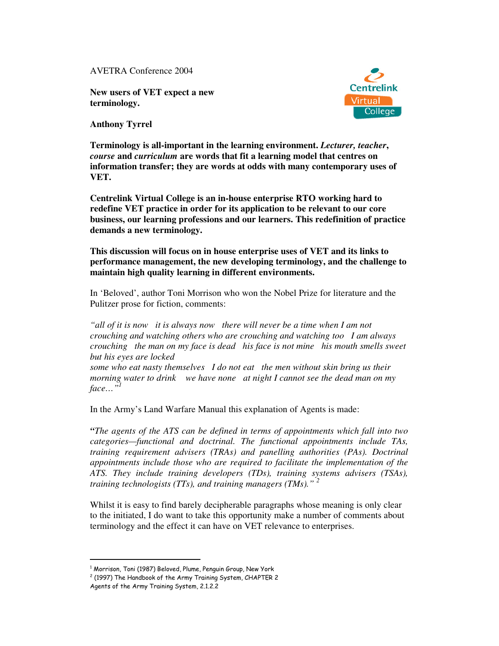AVETRA Conference 2004

**New users of VET expect a new terminology.**



**Anthony Tyrrel**

**Terminology is all-important in the learning environment.** *Lecturer, teacher***,** *course* **and** *curriculum* **are words that fit a learning model that centres on information transfer; they are words at odds with many contemporary uses of VET.**

**Centrelink Virtual College is an in-house enterprise RTO working hard to redefine VET practice in order for its application to be relevant to our core business, our learning professions and our learners. This redefinition of practice demands a new terminology.**

**This discussion will focus on in house enterprise uses of VET and its links to performance management, the new developing terminology, and the challenge to maintain high quality learning in different environments.**

In 'Beloved', author Toni Morrison who won the Nobel Prize for literature and the Pulitzer prose for fiction, comments:

*"all of it is now it is always now there will never be a time when I am not crouching and watching others who are crouching and watching too I am always crouching the man on my face is dead his face is not mine his mouth smells sweet but his eyes are locked some who eat nasty themselves I do not eat the men without skin bring us their morning water to drink we have none at night I cannot see the dead man on my face…" 1*

In the Army's Land Warfare Manual this explanation of Agents is made:

*"The agents of the ATS can be defined in terms of appointments which fall into two categories—functional and doctrinal. The functional appointments include TAs, training requirement advisers (TRAs) and panelling authorities (PAs). Doctrinal appointments include those who are required to facilitate the implementation of the ATS. They include training developers (TDs), training systems advisers (TSAs), training technologists (TTs), and training managers (TMs)." 2*

Whilst it is easy to find barely decipherable paragraphs whose meaning is only clear to the initiated, I do want to take this opportunity make a number of comments about terminology and the effect it can have on VET relevance to enterprises.

 $^{\rm 1}$  Morrison, Toni (1987) Beloved, Plume, Penguin Group, New York

 $^2$  (1997) The Handbook of the Army Training System, CHAPTER 2

Agents of the Army Training System, 2.1.2.2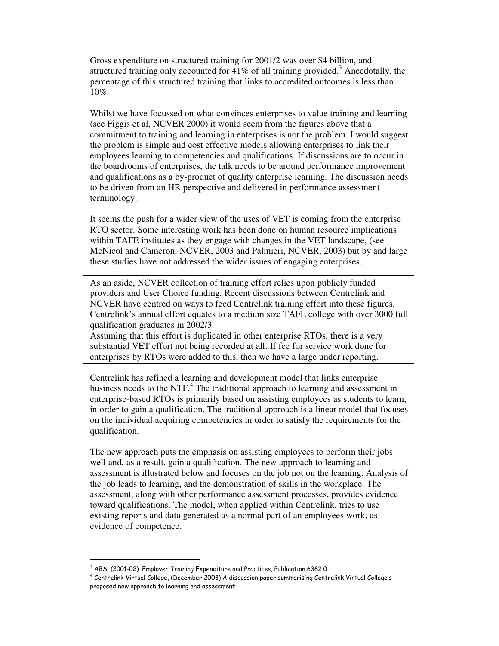Gross expenditure on structured training for 2001/2 was over \$4 billion, and structured training only accounted for  $41\%$  of all training provided.<sup>3</sup> Anecdotally, the percentage of this structured training that links to accredited outcomes is less than 10%.

Whilst we have focussed on what convinces enterprises to value training and learning (see Figgis et al, NCVER 2000) it would seem from the figures above that a commitment to training and learning in enterprises is not the problem. I would suggest the problem is simple and cost effective models allowing enterprises to link their employees learning to competencies and qualifications. If discussions are to occur in the boardrooms of enterprises, the talk needs to be around performance improvement and qualifications as a by-product of quality enterprise learning. The discussion needs to be driven from an HR perspective and delivered in performance assessment terminology.

It seems the push for a wider view of the uses of VET is coming from the enterprise RTO sector. Some interesting work has been done on human resource implications within TAFE institutes as they engage with changes in the VET landscape, (see McNicol and Cameron, NCVER, 2003 and Palmieri, NCVER, 2003) but by and large these studies have not addressed the wider issues of engaging enterprises.

As an aside, NCVER collection of training effort relies upon publicly funded providers and User Choice funding. Recent discussions between Centrelink and NCVER have centred on ways to feed Centrelink training effort into these figures. Centrelink's annual effort equates to a medium size TAFE college with over 3000 full qualification graduates in 2002/3.

Assuming that this effort is duplicated in other enterprise RTOs, there is a very substantial VET effort not being recorded at all. If fee for service work done for enterprises by RTOs were added to this, then we have a large under reporting.

Centrelink has refined a learning and development model that links enterprise business needs to the NTF. 4 The traditional approach to learning and assessment in enterprise-based RTOs is primarily based on assisting employees as students to learn, in order to gain a qualification. The traditional approach is a linear model that focuses on the individual acquiring competencies in order to satisfy the requirements for the qualification.

The new approach puts the emphasis on assisting employees to perform their jobs well and, as a result, gain a qualification. The new approach to learning and assessment is illustrated below and focuses on the job not on the learning. Analysis of the job leads to learning, and the demonstration of skills in the workplace. The assessment, along with other performance assessment processes, provides evidence toward qualifications. The model, when applied within Centrelink, tries to use existing reports and data generated as a normal part of an employees work, as evidence of competence.

 $^3$  ABS, (2001-02). Employer Training Expenditure and Practices, Publication 6362.0

 $^4$  Centrelink Virtual College, (December 2003) A discussion paper summarising Centrelink Virtual College's proposed new approach to learning and assessment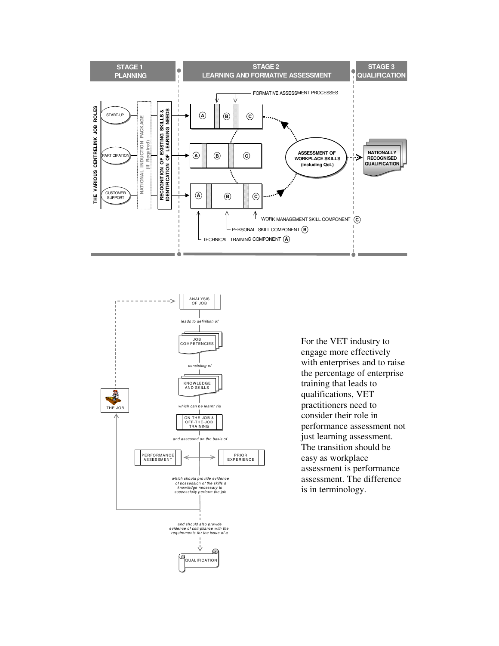



For the VET industry to engage more effectively with enterprises and to raise the percentage of enterprise training that leads to qualifications, VET practitioners need to consider their role in performance assessment not just learning assessment. The transition should be easy as workplace assessment is performance assessment. The difference is in terminology.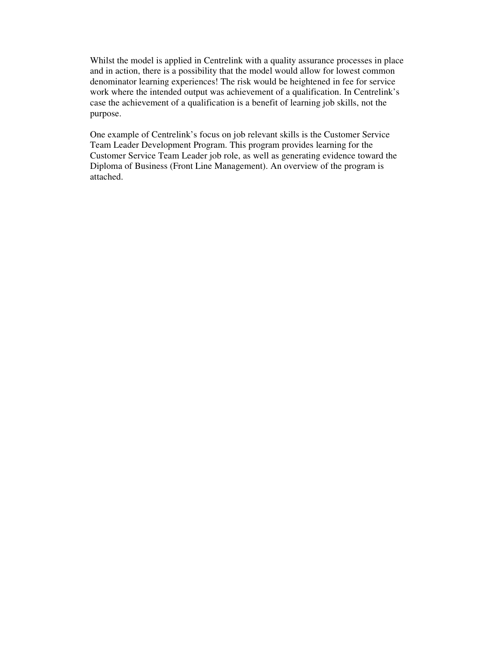Whilst the model is applied in Centrelink with a quality assurance processes in place and in action, there is a possibility that the model would allow for lowest common denominator learning experiences! The risk would be heightened in fee for service work where the intended output was achievement of a qualification. In Centrelink's case the achievement of a qualification is a benefit of learning job skills, not the purpose.

One example of Centrelink's focus on job relevant skills is the Customer Service Team Leader Development Program. This program provides learning for the Customer Service Team Leader job role, as well as generating evidence toward the Diploma of Business (Front Line Management). An overview of the program is attached.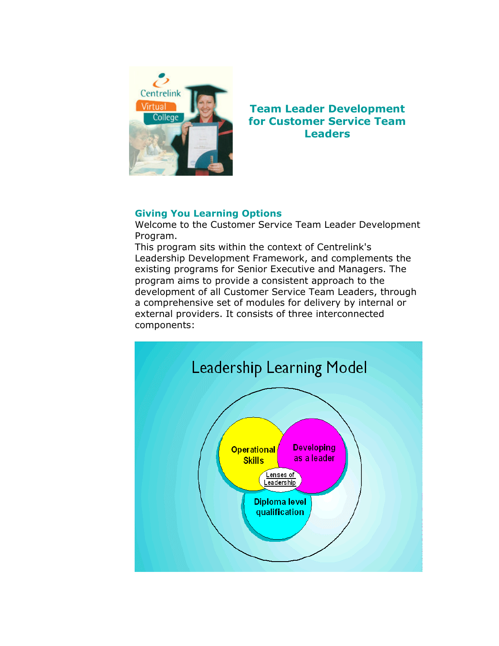

# **Team Leader Development for Customer Service Team Leaders**

# **Giving You Learning Options**

Welcome to the Customer Service Team Leader Development Program.

This program sits within the context of Centrelink's Leadership Development Framework, and complements the existing programs for Senior Executive and Managers. The program aims to provide a consistent approach to the development of all Customer Service Team Leaders, through a comprehensive set of modules for delivery by internal or external providers. It consists of three interconnected components:

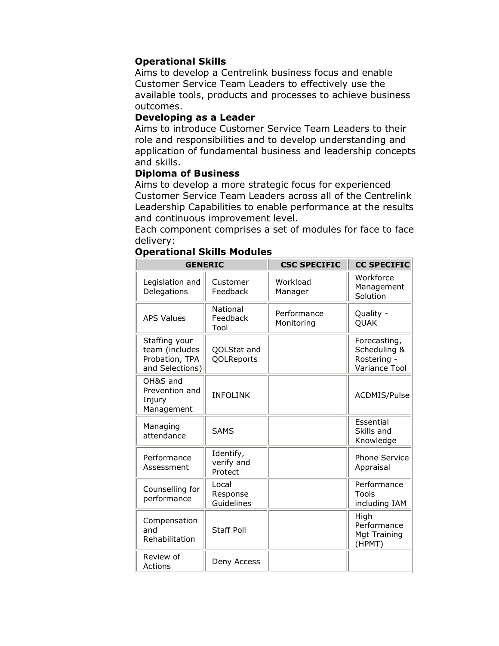# **Operational Skills**

Aims to develop a Centrelink business focus and enable Customer Service Team Leaders to effectively use the available tools, products and processes to achieve business outcomes.

### Developing as a Leader

Aims to introduce Customer Service Team Leaders to their role and responsibilities and to develop understanding and application of fundamental business and leadership concepts and skills.

## **Diploma of Business**

Aims to develop a more strategic focus for experienced Customer Service Team Leaders across all of the Centrelink Leadership Capabilities to enable performance at the results and continuous improvement level.

Each component comprises a set of modules for face to face delivery:

| <b>GENERIC</b>                                                       |                                    | <b>CSC SPECIFIC</b>       | <b>CC SPECIFIC</b>                                                  |
|----------------------------------------------------------------------|------------------------------------|---------------------------|---------------------------------------------------------------------|
| Legislation and<br>Delegations                                       | Customer<br>Feedback               | Workload<br>Manager       | Workforce<br>Management<br>Solution                                 |
| <b>APS Values</b>                                                    | National<br>Feedback<br>Tool       | Performance<br>Monitoring | Quality -<br><b>QUAK</b>                                            |
| Staffing your<br>team (includes<br>Probation, TPA<br>and Selections) | QOLStat and<br>QOLReports          |                           | Forecasting,<br>Scheduling &<br>Rostering -<br><b>Variance Tool</b> |
| OH&S and<br>Prevention and<br>Injury<br>Management                   | <b>INFOLINK</b>                    |                           | ACDMIS/Pulse                                                        |
| Managing<br>attendance                                               | <b>SAMS</b>                        |                           | Essential<br>Skills and<br>Knowledge                                |
| Performance<br>Assessment                                            | Identify,<br>verify and<br>Protect |                           | <b>Phone Service</b><br>Appraisal                                   |
| Counselling for<br>performance                                       | Local<br>Response<br>Guidelines    |                           | Performance<br>Tools<br>including IAM                               |
| Compensation<br>and<br>Rehabilitation                                | <b>Staff Poll</b>                  |                           | High<br>Performance<br><b>Mgt Training</b><br>(HPMT)                |
| Review of<br>Actions                                                 | Deny Access                        |                           |                                                                     |

### **Operational Skills Modules**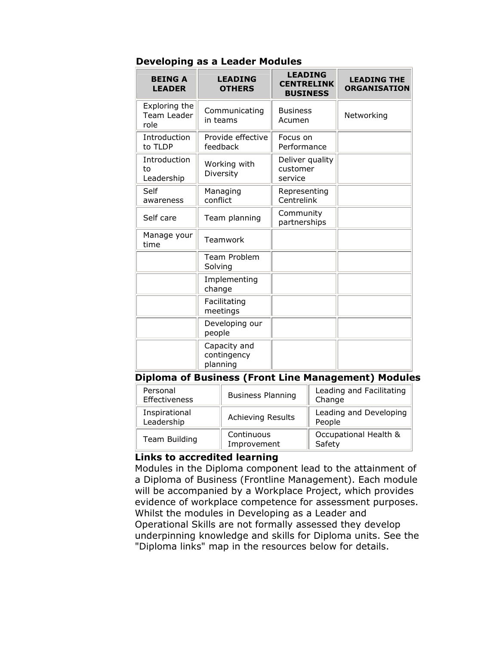| Developing as a Leader Modules |                |                   |  |
|--------------------------------|----------------|-------------------|--|
| <b>BEING A</b>                 | <b>LEADING</b> | <b>LEADING</b>    |  |
| I EANED                        | <b>ATUEDC</b>  | <b>CENTRELINK</b> |  |

 $\sim$ 

| <b>BEING A</b><br><b>LEADER</b>      | <b>LEADING</b><br><b>OTHERS</b>         | <b>CENTRELINK</b><br><b>BUSINESS</b>   | <b>LEADING THE</b><br><b>ORGANISATION</b> |
|--------------------------------------|-----------------------------------------|----------------------------------------|-------------------------------------------|
| Exploring the<br>Team Leader<br>role | Communicating<br>in teams               | <b>Business</b><br>Acumen              | Networking                                |
| Introduction<br>to TLDP              | Provide effective<br>feedback           | Focus on<br>Performance                |                                           |
| Introduction<br>to<br>Leadership     | Working with<br>Diversity               | Deliver quality<br>customer<br>service |                                           |
| Self<br>awareness                    | Managing<br>conflict                    | Representing<br>Centrelink             |                                           |
| Self care                            | Team planning                           | Community<br>partnerships              |                                           |
| Manage your<br>time                  | Teamwork                                |                                        |                                           |
|                                      | Team Problem<br>Solving                 |                                        |                                           |
|                                      | Implementing<br>change                  |                                        |                                           |
|                                      | Facilitating<br>meetings                |                                        |                                           |
|                                      | Developing our<br>people                |                                        |                                           |
|                                      | Capacity and<br>contingency<br>planning |                                        |                                           |

### **Diploma of Business (Front Line Management) Modules**

| Personal<br>Effectiveness   | <b>Business Planning</b>  | Leading and Facilitating<br>Change |
|-----------------------------|---------------------------|------------------------------------|
| Inspirational<br>Leadership | <b>Achieving Results</b>  | Leading and Developing<br>People   |
| Team Building               | Continuous<br>Improvement | Occupational Health &<br>Safety    |

## **Links to accredited learning**

Modules in the Diploma component lead to the attainment of a Diploma of Business (Frontline Management). Each module will be accompanied by a Workplace Project, which provides evidence of workplace competence for assessment purposes. Whilst the modules in Developing as a Leader and Operational Skills are not formally assessed they develop underpinning knowledge and skills for Diploma units. See the "Diploma links" map in the resources below for details.